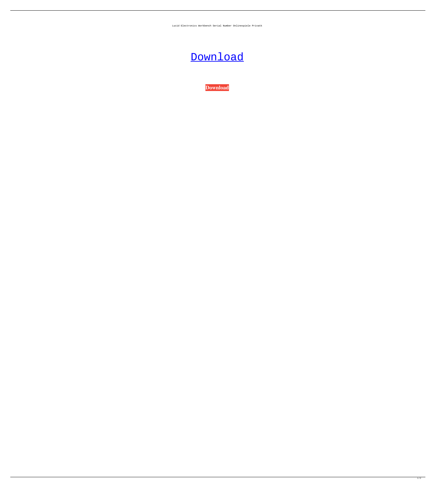Lucid Electronics Workbench Serial Number Onlinespiele Privatk



**[Download](http://evacdir.com/receivership/adviseable.hairstyle.besides/calcite/THVjaWQgRWxlY3Ryb25pY3MgV29ya2JlbmNoIFNlcmlhbCBOdW1iZXIgb25saW5lc3BpZWxlIHByaXZhdGsTHV/commuter/ZG93bmxvYWR8VFUyZDJOdmZId3hOalUwTXpRME9EZzBmSHd5TlRnM2ZId29UU2tnU0dWeWIydDFJRnRHWVhOMElFZEZUbDA/decoupling)**